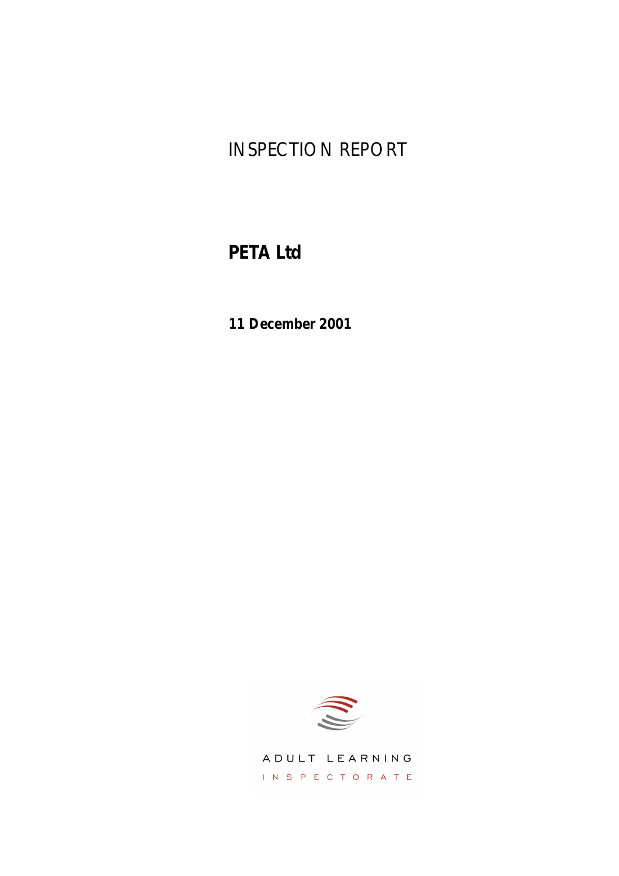# INSPECTION REPORT

# **PETA Ltd**

**11 December 2001**



ADULT LEARNING INSPECTORATE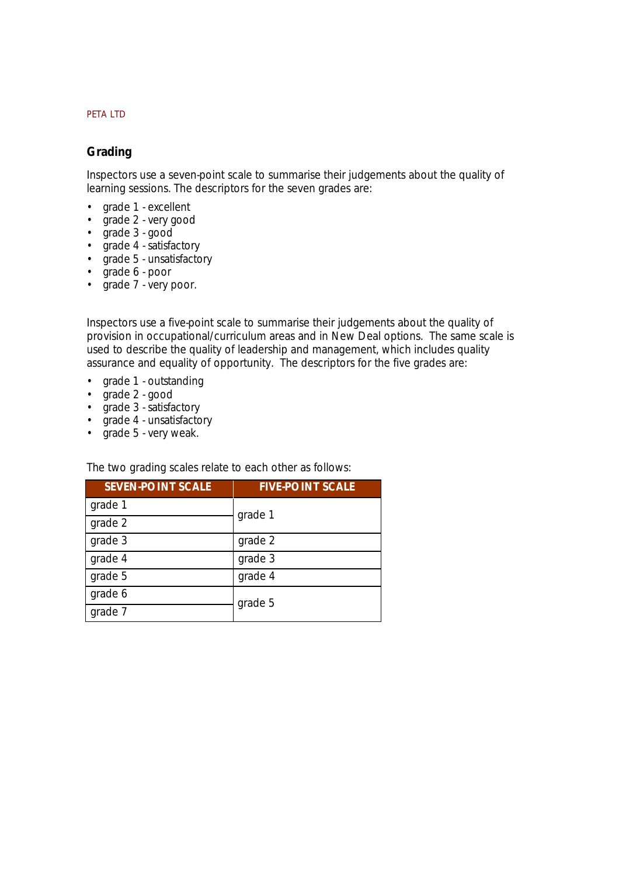# **Grading**

Inspectors use a seven-point scale to summarise their judgements about the quality of learning sessions. The descriptors for the seven grades are:

- *grade 1 excellent*
- *grade 2 very good*
- *grade 3 good*
- *grade 4 satisfactory*
- *grade 5 unsatisfactory*
- *grade 6 poor*
- *grade 7 very poor.*

Inspectors use a five-point scale to summarise their judgements about the quality of provision in occupational/curriculum areas and in New Deal options. The same scale is used to describe the quality of leadership and management, which includes quality assurance and equality of opportunity. The descriptors for the five grades are:

- *grade 1 outstanding*
- *grade 2 good*
- *grade 3 satisfactory*
- *grade 4 unsatisfactory*
- *grade 5 very weak.*

The two grading scales relate to each other as follows:

| <b>SEVEN-POINT SCALE</b> | <b>FIVE-POINT SCALE</b> |
|--------------------------|-------------------------|
| grade 1                  | grade 1                 |
| grade 2                  |                         |
| grade 3                  | grade 2                 |
| grade 4                  | grade 3                 |
| grade 5                  | grade 4                 |
| grade 6                  | grade 5                 |
| grade 7                  |                         |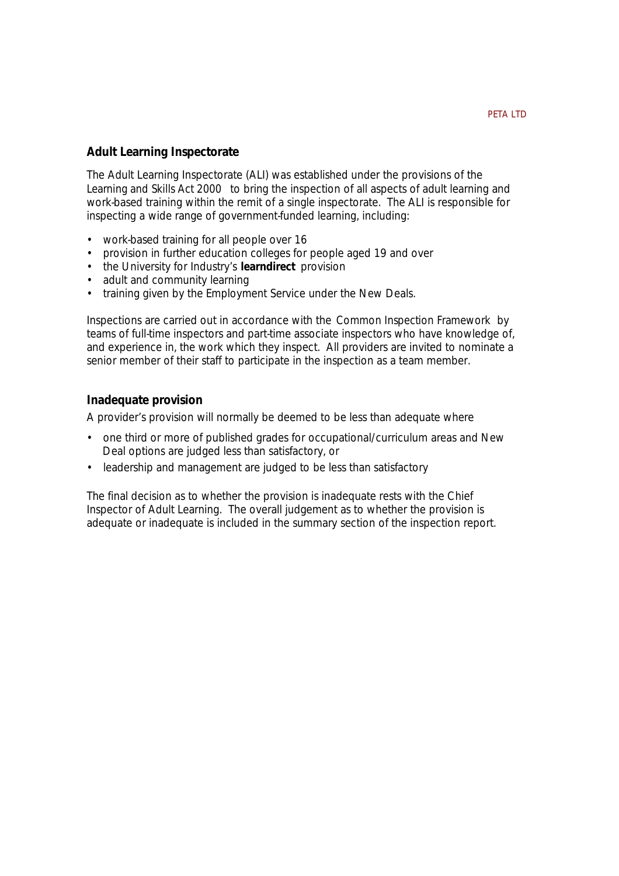# **Adult Learning Inspectorate**

The Adult Learning Inspectorate (ALI) was established under the provisions of the *Learning and Skills Act 2000* to bring the inspection of all aspects of adult learning and work-based training within the remit of a single inspectorate. The ALI is responsible for inspecting a wide range of government-funded learning, including:

- work-based training for all people over 16
- provision in further education colleges for people aged 19 and over
- the University for Industry's **learndirect** provision
- adult and community learning
- training given by the Employment Service under the New Deals.

Inspections are carried out in accordance with the *Common Inspection Framework* by teams of full-time inspectors and part-time associate inspectors who have knowledge of, and experience in, the work which they inspect. All providers are invited to nominate a senior member of their staff to participate in the inspection as a team member.

## **Inadequate provision**

A provider's provision will normally be deemed to be less than adequate where

- one third or more of published grades for occupational/curriculum areas and New Deal options are judged less than satisfactory, or
- leadership and management are judged to be less than satisfactory

The final decision as to whether the provision is inadequate rests with the Chief Inspector of Adult Learning. The overall judgement as to whether the provision is adequate or inadequate is included in the summary section of the inspection report.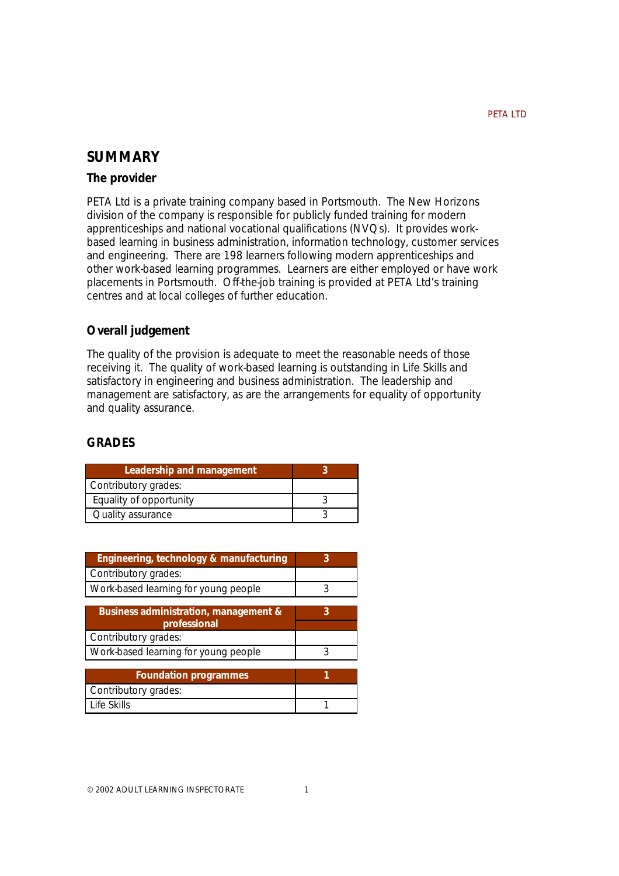# **SUMMARY**

## **The provider**

PETA Ltd is a private training company based in Portsmouth. The New Horizons division of the company is responsible for publicly funded training for modern apprenticeships and national vocational qualifications (NVQs). It provides workbased learning in business administration, information technology, customer services and engineering. There are 198 learners following modern apprenticeships and other work-based learning programmes. Learners are either employed or have work placements in Portsmouth. Off-the-job training is provided at PETA Ltd's training centres and at local colleges of further education.

# **Overall judgement**

The quality of the provision is adequate to meet the reasonable needs of those receiving it. The quality of work-based learning is outstanding in Life Skills and satisfactory in engineering and business administration. The leadership and management are satisfactory, as are the arrangements for equality of opportunity and quality assurance.

# **GRADES**

| Leadership and management |  |
|---------------------------|--|
| Contributory grades:      |  |
| Equality of opportunity   |  |
| Quality assurance         |  |

| Engineering, technology & manufacturing |   |
|-----------------------------------------|---|
| Contributory grades:                    |   |
| Work-based learning for young people    | 3 |
|                                         |   |
| Business administration, management &   | 3 |
| professional                            |   |
| Contributory grades:                    |   |
| Work-based learning for young people    | २ |
|                                         |   |
| <b>Foundation programmes</b>            | 1 |
| Contributory grades:                    |   |
| Life Skills                             |   |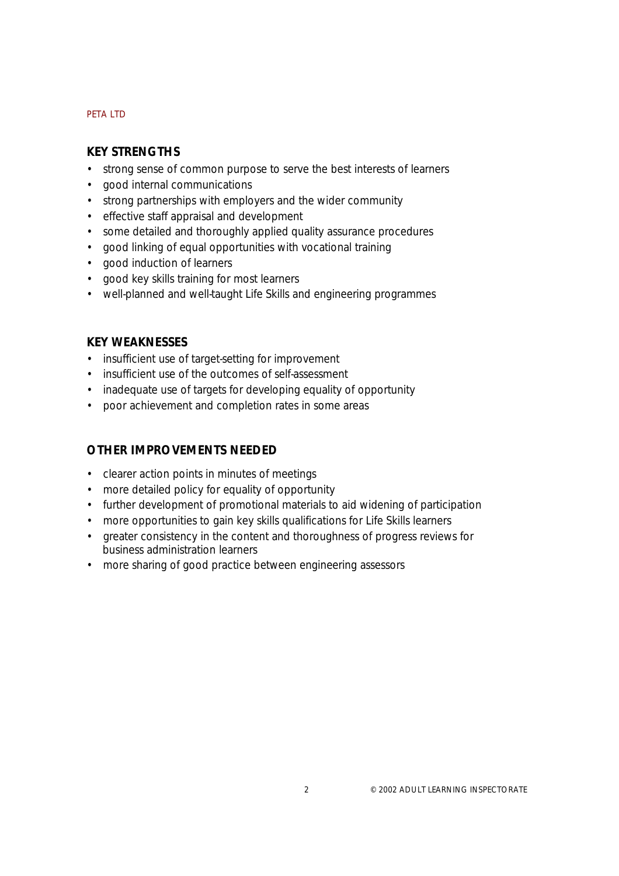# **KEY STRENGTHS**

- strong sense of common purpose to serve the best interests of learners
- good internal communications
- strong partnerships with employers and the wider community
- effective staff appraisal and development
- some detailed and thoroughly applied quality assurance procedures
- good linking of equal opportunities with vocational training
- good induction of learners
- good key skills training for most learners
- well-planned and well-taught Life Skills and engineering programmes

# **KEY WEAKNESSES**

- insufficient use of target-setting for improvement
- insufficient use of the outcomes of self-assessment
- inadequate use of targets for developing equality of opportunity
- poor achievement and completion rates in some areas

# **OTHER IMPROVEMENTS NEEDED**

- clearer action points in minutes of meetings
- more detailed policy for equality of opportunity
- further development of promotional materials to aid widening of participation
- more opportunities to gain key skills qualifications for Life Skills learners
- greater consistency in the content and thoroughness of progress reviews for business administration learners
- more sharing of good practice between engineering assessors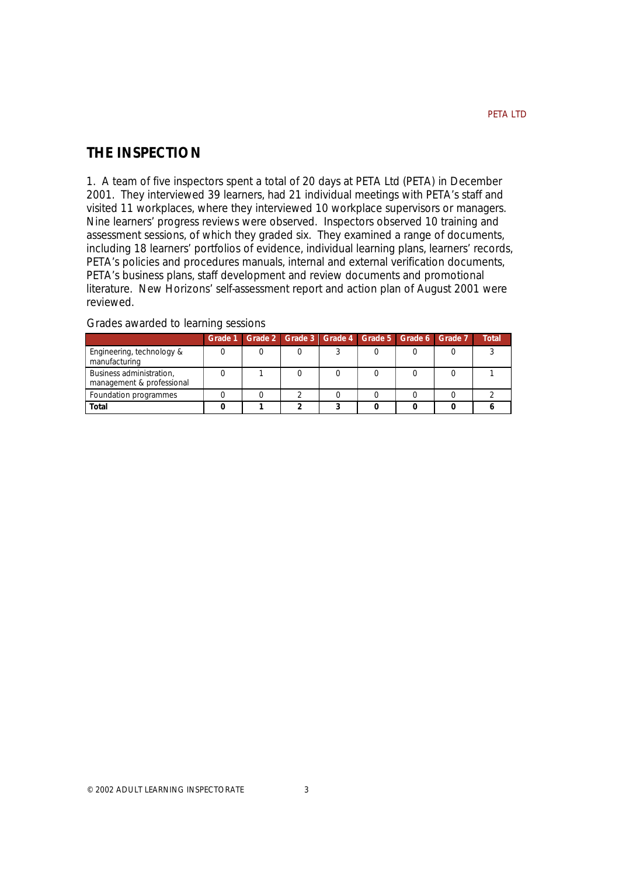# **THE INSPECTION**

1. A team of five inspectors spent a total of 20 days at PETA Ltd (PETA) in December 2001. They interviewed 39 learners, had 21 individual meetings with PETA's staff and visited 11 workplaces, where they interviewed 10 workplace supervisors or managers. Nine learners' progress reviews were observed. Inspectors observed 10 training and assessment sessions, of which they graded six. They examined a range of documents, including 18 learners' portfolios of evidence, individual learning plans, learners' records, PETA's policies and procedures manuals, internal and external verification documents, PETA's business plans, staff development and review documents and promotional literature. New Horizons' self-assessment report and action plan of August 2001 were reviewed.

|                                                       | Grade 1 Grade 2 Grade 3 Grade 4 Grade 5 Grade 6 Grade 7 |  |  | <b>Total</b> |
|-------------------------------------------------------|---------------------------------------------------------|--|--|--------------|
| Engineering, technology &<br>manufacturing            |                                                         |  |  |              |
| Business administration,<br>management & professional |                                                         |  |  |              |
| Foundation programmes                                 |                                                         |  |  |              |
| Total                                                 |                                                         |  |  |              |

#### Grades awarded to learning sessions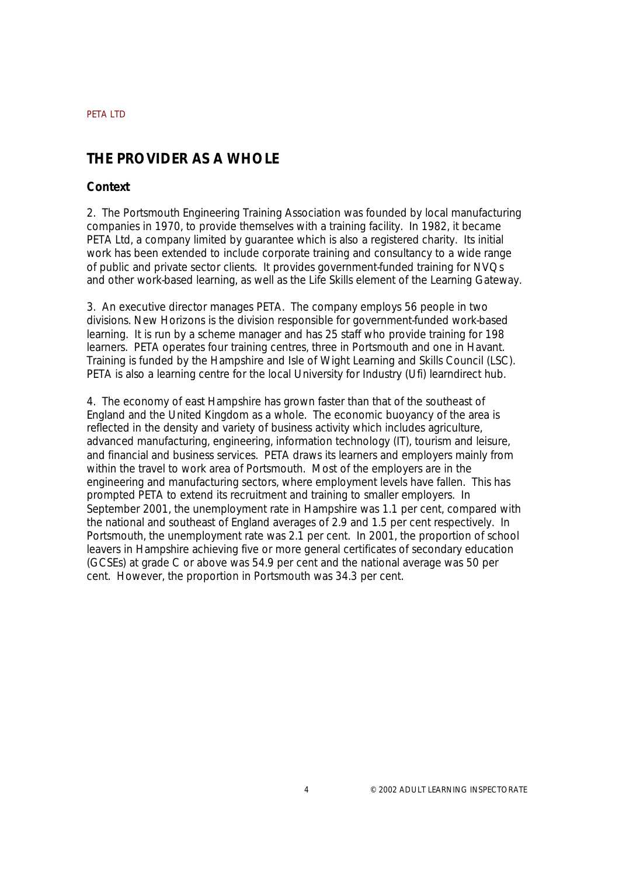# **THE PROVIDER AS A WHOLE**

# **Context**

2. The Portsmouth Engineering Training Association was founded by local manufacturing companies in 1970, to provide themselves with a training facility. In 1982, it became PETA Ltd, a company limited by guarantee which is also a registered charity. Its initial work has been extended to include corporate training and consultancy to a wide range of public and private sector clients. It provides government-funded training for NVQs and other work-based learning, as well as the Life Skills element of the Learning Gateway.

3. An executive director manages PETA. The company employs 56 people in two divisions. New Horizons is the division responsible for government-funded work-based learning. It is run by a scheme manager and has 25 staff who provide training for 198 learners. PETA operates four training centres, three in Portsmouth and one in Havant. Training is funded by the Hampshire and Isle of Wight Learning and Skills Council (LSC). PETA is also a learning centre for the local University for Industry (Ufi) learndirect hub.

4. The economy of east Hampshire has grown faster than that of the southeast of England and the United Kingdom as a whole. The economic buoyancy of the area is reflected in the density and variety of business activity which includes agriculture, advanced manufacturing, engineering, information technology (IT), tourism and leisure, and financial and business services. PETA draws its learners and employers mainly from within the travel to work area of Portsmouth. Most of the employers are in the engineering and manufacturing sectors, where employment levels have fallen. This has prompted PETA to extend its recruitment and training to smaller employers. In September 2001, the unemployment rate in Hampshire was 1.1 per cent, compared with the national and southeast of England averages of 2.9 and 1.5 per cent respectively. In Portsmouth, the unemployment rate was 2.1 per cent. In 2001, the proportion of school leavers in Hampshire achieving five or more general certificates of secondary education (GCSEs) at grade C or above was 54.9 per cent and the national average was 50 per cent. However, the proportion in Portsmouth was 34.3 per cent.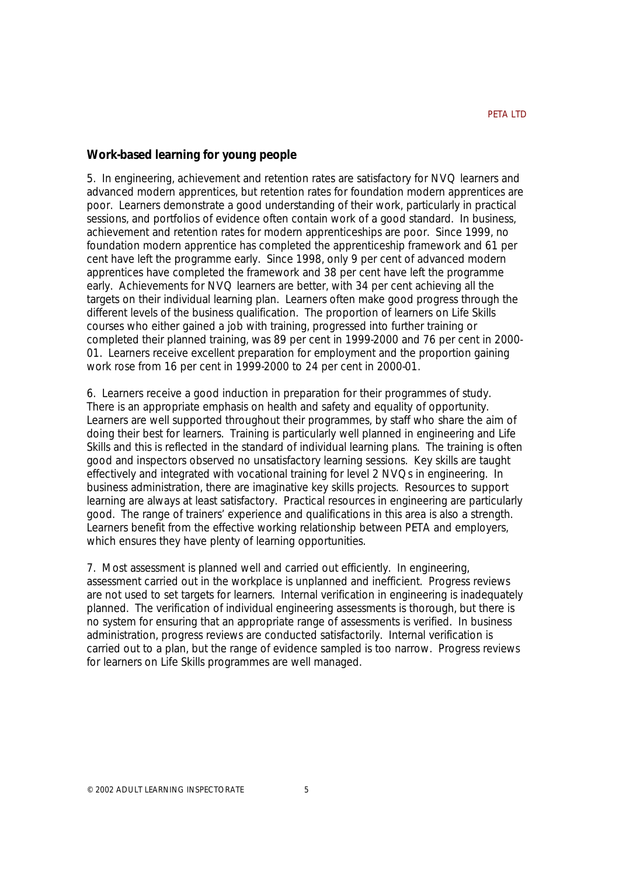## **Work-based learning for young people**

5. In engineering, achievement and retention rates are satisfactory for NVQ learners and advanced modern apprentices, but retention rates for foundation modern apprentices are poor. Learners demonstrate a good understanding of their work, particularly in practical sessions, and portfolios of evidence often contain work of a good standard. In business, achievement and retention rates for modern apprenticeships are poor. Since 1999, no foundation modern apprentice has completed the apprenticeship framework and 61 per cent have left the programme early. Since 1998, only 9 per cent of advanced modern apprentices have completed the framework and 38 per cent have left the programme early. Achievements for NVQ learners are better, with 34 per cent achieving all the targets on their individual learning plan. Learners often make good progress through the different levels of the business qualification. The proportion of learners on Life Skills courses who either gained a job with training, progressed into further training or completed their planned training, was 89 per cent in 1999-2000 and 76 per cent in 2000- 01. Learners receive excellent preparation for employment and the proportion gaining work rose from 16 per cent in 1999-2000 to 24 per cent in 2000-01.

6. Learners receive a good induction in preparation for their programmes of study. There is an appropriate emphasis on health and safety and equality of opportunity. Learners are well supported throughout their programmes, by staff who share the aim of doing their best for learners. Training is particularly well planned in engineering and Life Skills and this is reflected in the standard of individual learning plans. The training is often good and inspectors observed no unsatisfactory learning sessions. Key skills are taught effectively and integrated with vocational training for level 2 NVQs in engineering. In business administration, there are imaginative key skills projects. Resources to support learning are always at least satisfactory. Practical resources in engineering are particularly good. The range of trainers' experience and qualifications in this area is also a strength. Learners benefit from the effective working relationship between PETA and employers, which ensures they have plenty of learning opportunities.

7. Most assessment is planned well and carried out efficiently. In engineering, assessment carried out in the workplace is unplanned and inefficient. Progress reviews are not used to set targets for learners. Internal verification in engineering is inadequately planned. The verification of individual engineering assessments is thorough, but there is no system for ensuring that an appropriate range of assessments is verified. In business administration, progress reviews are conducted satisfactorily. Internal verification is carried out to a plan, but the range of evidence sampled is too narrow. Progress reviews for learners on Life Skills programmes are well managed.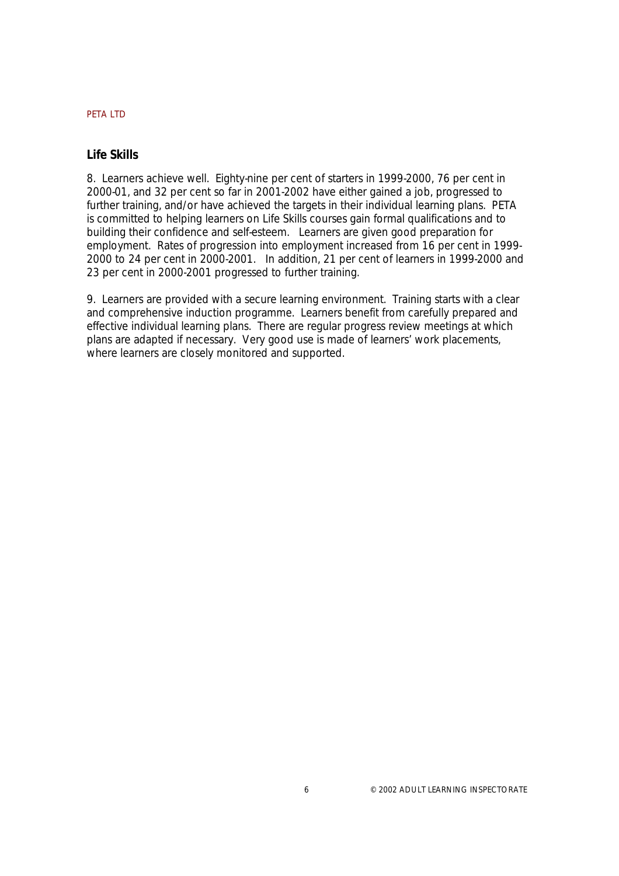# **Life Skills**

8. Learners achieve well. Eighty-nine per cent of starters in 1999-2000, 76 per cent in 2000-01, and 32 per cent so far in 2001-2002 have either gained a job, progressed to further training, and/or have achieved the targets in their individual learning plans. PETA is committed to helping learners on Life Skills courses gain formal qualifications and to building their confidence and self-esteem. Learners are given good preparation for employment. Rates of progression into employment increased from 16 per cent in 1999- 2000 to 24 per cent in 2000-2001. In addition, 21 per cent of learners in 1999-2000 and 23 per cent in 2000-2001 progressed to further training.

9. Learners are provided with a secure learning environment. Training starts with a clear and comprehensive induction programme. Learners benefit from carefully prepared and effective individual learning plans. There are regular progress review meetings at which plans are adapted if necessary. Very good use is made of learners' work placements, where learners are closely monitored and supported.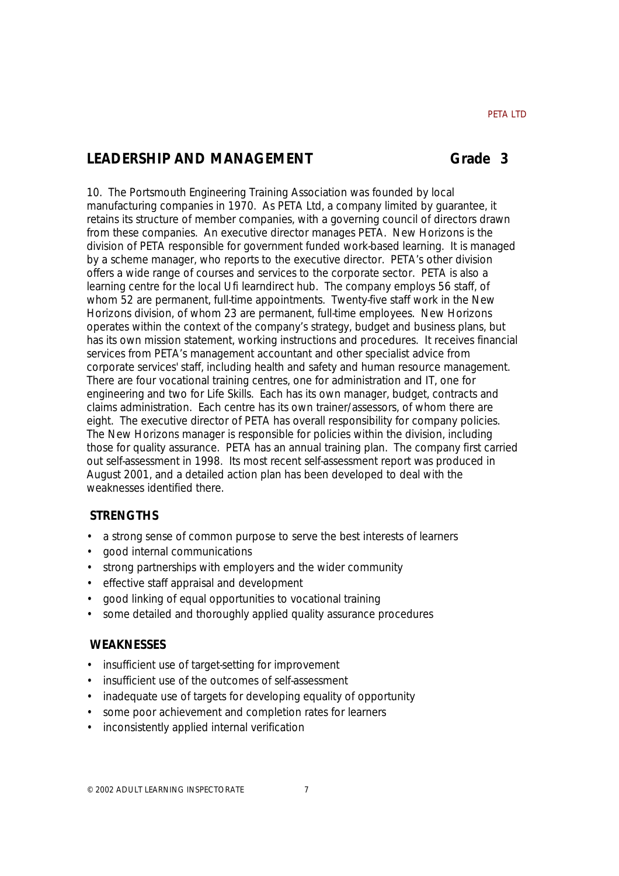# LEADERSHIP AND MANAGEMENT **State 3**

10. The Portsmouth Engineering Training Association was founded by local manufacturing companies in 1970. As PETA Ltd, a company limited by guarantee, it retains its structure of member companies, with a governing council of directors drawn from these companies. An executive director manages PETA. New Horizons is the division of PETA responsible for government funded work-based learning. It is managed by a scheme manager, who reports to the executive director. PETA's other division offers a wide range of courses and services to the corporate sector. PETA is also a learning centre for the local Ufi learndirect hub. The company employs 56 staff, of whom 52 are permanent, full-time appointments. Twenty-five staff work in the New Horizons division, of whom 23 are permanent, full-time employees. New Horizons operates within the context of the company's strategy, budget and business plans, but has its own mission statement, working instructions and procedures. It receives financial services from PETA's management accountant and other specialist advice from corporate services' staff, including health and safety and human resource management. There are four vocational training centres, one for administration and IT, one for engineering and two for Life Skills. Each has its own manager, budget, contracts and claims administration. Each centre has its own trainer/assessors, of whom there are eight. The executive director of PETA has overall responsibility for company policies. The New Horizons manager is responsible for policies within the division, including those for quality assurance. PETA has an annual training plan. The company first carried out self-assessment in 1998. Its most recent self-assessment report was produced in August 2001, and a detailed action plan has been developed to deal with the weaknesses identified there.

# **STRENGTHS**

- a strong sense of common purpose to serve the best interests of learners
- good internal communications
- strong partnerships with employers and the wider community
- effective staff appraisal and development
- good linking of equal opportunities to vocational training
- some detailed and thoroughly applied quality assurance procedures

# **WEAKNESSES**

- insufficient use of target-setting for improvement
- insufficient use of the outcomes of self-assessment
- inadequate use of targets for developing equality of opportunity
- some poor achievement and completion rates for learners
- inconsistently applied internal verification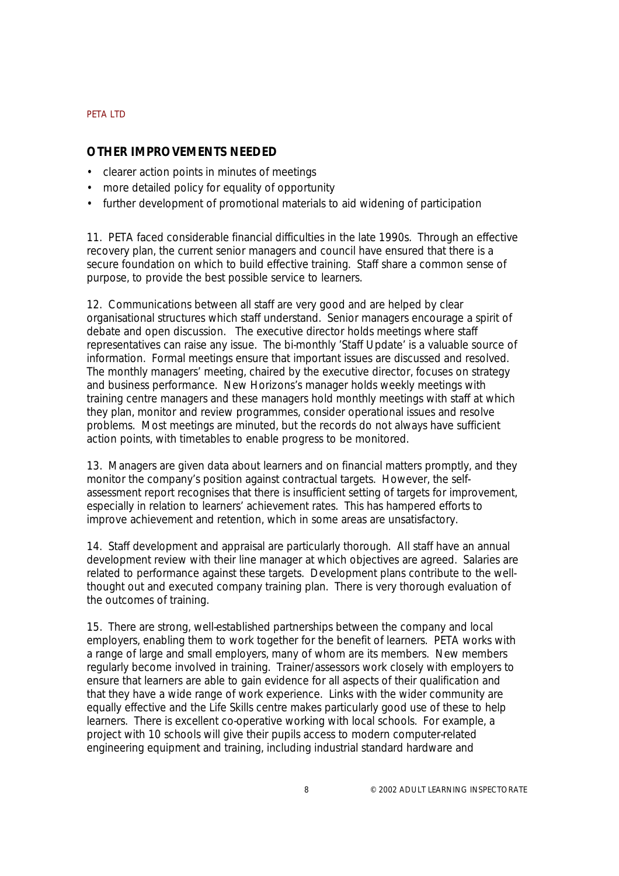# **OTHER IMPROVEMENTS NEEDED**

- clearer action points in minutes of meetings
- more detailed policy for equality of opportunity
- further development of promotional materials to aid widening of participation

11. PETA faced considerable financial difficulties in the late 1990s. Through an effective recovery plan, the current senior managers and council have ensured that there is a secure foundation on which to build effective training. Staff share a common sense of purpose, to provide the best possible service to learners.

12. Communications between all staff are very good and are helped by clear organisational structures which staff understand. Senior managers encourage a spirit of debate and open discussion. The executive director holds meetings where staff representatives can raise any issue. The bi-monthly 'Staff Update' is a valuable source of information. Formal meetings ensure that important issues are discussed and resolved. The monthly managers' meeting, chaired by the executive director, focuses on strategy and business performance. New Horizons's manager holds weekly meetings with training centre managers and these managers hold monthly meetings with staff at which they plan, monitor and review programmes, consider operational issues and resolve problems. Most meetings are minuted, but the records do not always have sufficient action points, with timetables to enable progress to be monitored.

13. Managers are given data about learners and on financial matters promptly, and they monitor the company's position against contractual targets. However, the selfassessment report recognises that there is insufficient setting of targets for improvement, especially in relation to learners' achievement rates. This has hampered efforts to improve achievement and retention, which in some areas are unsatisfactory.

14. Staff development and appraisal are particularly thorough. All staff have an annual development review with their line manager at which objectives are agreed. Salaries are related to performance against these targets. Development plans contribute to the wellthought out and executed company training plan. There is very thorough evaluation of the outcomes of training.

15. There are strong, well-established partnerships between the company and local employers, enabling them to work together for the benefit of learners. PETA works with a range of large and small employers, many of whom are its members. New members regularly become involved in training. Trainer/assessors work closely with employers to ensure that learners are able to gain evidence for all aspects of their qualification and that they have a wide range of work experience. Links with the wider community are equally effective and the Life Skills centre makes particularly good use of these to help learners. There is excellent co-operative working with local schools. For example, a project with 10 schools will give their pupils access to modern computer-related engineering equipment and training, including industrial standard hardware and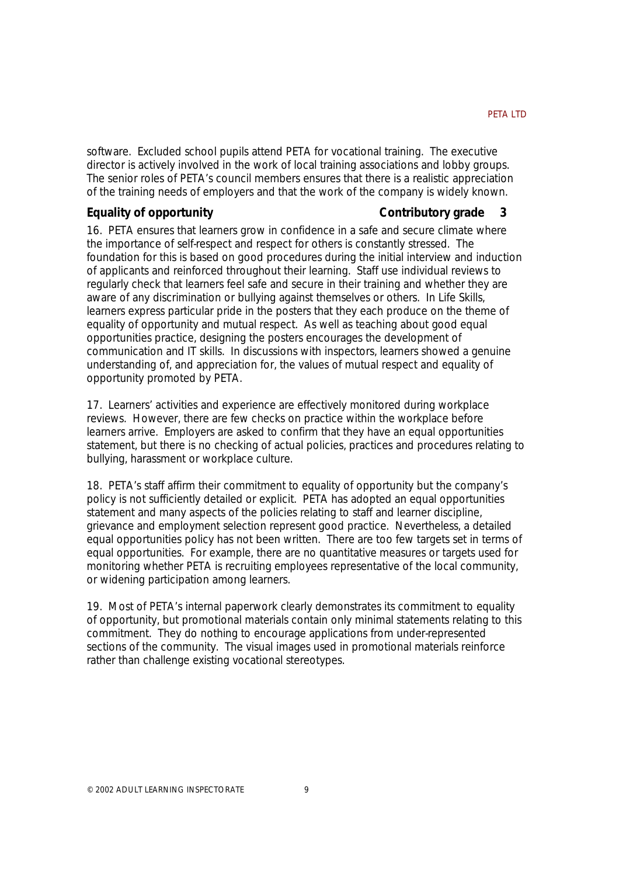software. Excluded school pupils attend PETA for vocational training. The executive director is actively involved in the work of local training associations and lobby groups. The senior roles of PETA's council members ensures that there is a realistic appreciation of the training needs of employers and that the work of the company is widely known.

# **Equality of opportunity**

## **Contributory grade 3**

16. PETA ensures that learners grow in confidence in a safe and secure climate where the importance of self-respect and respect for others is constantly stressed. The foundation for this is based on good procedures during the initial interview and induction of applicants and reinforced throughout their learning. Staff use individual reviews to regularly check that learners feel safe and secure in their training and whether they are aware of any discrimination or bullying against themselves or others. In Life Skills, learners express particular pride in the posters that they each produce on the theme of equality of opportunity and mutual respect. As well as teaching about good equal opportunities practice, designing the posters encourages the development of communication and IT skills. In discussions with inspectors, learners showed a genuine understanding of, and appreciation for, the values of mutual respect and equality of opportunity promoted by PETA.

17. Learners' activities and experience are effectively monitored during workplace reviews. However, there are few checks on practice within the workplace before learners arrive. Employers are asked to confirm that they have an equal opportunities statement, but there is no checking of actual policies, practices and procedures relating to bullying, harassment or workplace culture.

18. PETA's staff affirm their commitment to equality of opportunity but the company's policy is not sufficiently detailed or explicit. PETA has adopted an equal opportunities statement and many aspects of the policies relating to staff and learner discipline, grievance and employment selection represent good practice. Nevertheless, a detailed equal opportunities policy has not been written. There are too few targets set in terms of equal opportunities. For example, there are no quantitative measures or targets used for monitoring whether PETA is recruiting employees representative of the local community, or widening participation among learners.

19. Most of PETA's internal paperwork clearly demonstrates its commitment to equality of opportunity, but promotional materials contain only minimal statements relating to this commitment. They do nothing to encourage applications from under-represented sections of the community. The visual images used in promotional materials reinforce rather than challenge existing vocational stereotypes.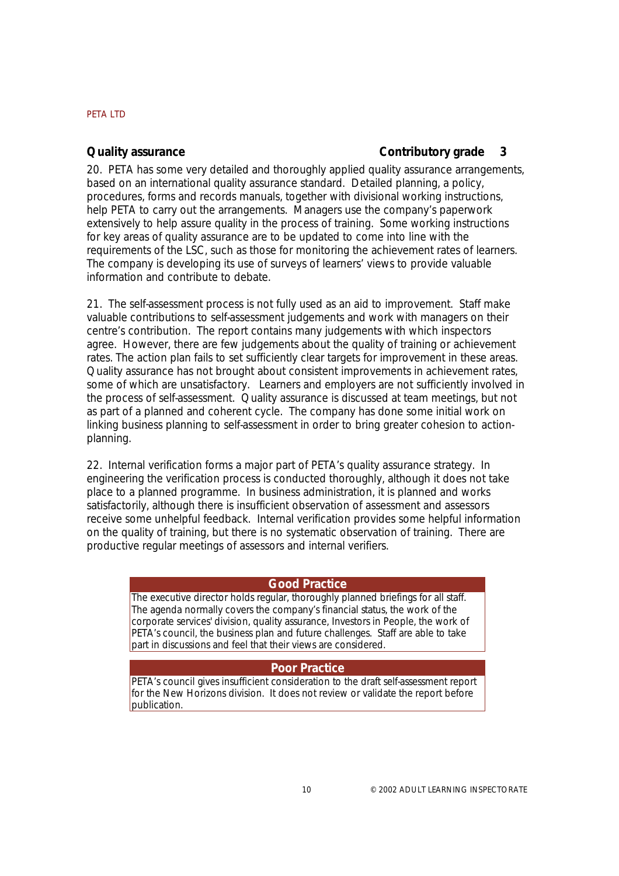## **Quality assurance**

# **Contributory grade 3**

20. PETA has some very detailed and thoroughly applied quality assurance arrangements, based on an international quality assurance standard. Detailed planning, a policy, procedures, forms and records manuals, together with divisional working instructions, help PETA to carry out the arrangements. Managers use the company's paperwork extensively to help assure quality in the process of training. Some working instructions for key areas of quality assurance are to be updated to come into line with the requirements of the LSC, such as those for monitoring the achievement rates of learners. The company is developing its use of surveys of learners' views to provide valuable information and contribute to debate.

21. The self-assessment process is not fully used as an aid to improvement. Staff make valuable contributions to self-assessment judgements and work with managers on their centre's contribution. The report contains many judgements with which inspectors agree. However, there are few judgements about the quality of training or achievement rates. The action plan fails to set sufficiently clear targets for improvement in these areas. Quality assurance has not brought about consistent improvements in achievement rates, some of which are unsatisfactory. Learners and employers are not sufficiently involved in the process of self-assessment. Quality assurance is discussed at team meetings, but not as part of a planned and coherent cycle. The company has done some initial work on linking business planning to self-assessment in order to bring greater cohesion to actionplanning.

22. Internal verification forms a major part of PETA's quality assurance strategy. In engineering the verification process is conducted thoroughly, although it does not take place to a planned programme. In business administration, it is planned and works satisfactorily, although there is insufficient observation of assessment and assessors receive some unhelpful feedback. Internal verification provides some helpful information on the quality of training, but there is no systematic observation of training. There are productive regular meetings of assessors and internal verifiers.

#### **Good Practice**

*The executive director holds regular, thoroughly planned briefings for all staff. The agenda normally covers the company's financial status, the work of the corporate services' division, quality assurance, Investors in People, the work of PETA's council, the business plan and future challenges. Staff are able to take part in discussions and feel that their views are considered.*

# **Poor Practice**

*PETA's council gives insufficient consideration to the draft self-assessment report for the New Horizons division. It does not review or validate the report before publication.*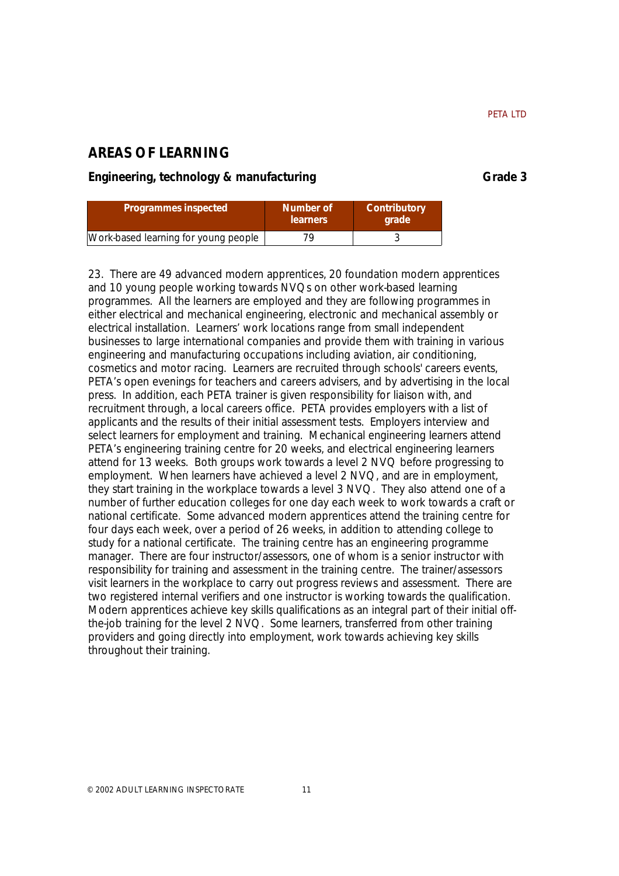# **AREAS OF LEARNING**

# Engineering, technology & manufacturing entitled and the Grade 3

| Programmes inspected                 | Number of<br><b>learners</b> | Contributory<br><b>arade</b> |
|--------------------------------------|------------------------------|------------------------------|
| Work-based learning for young people | 79                           |                              |

23. There are 49 advanced modern apprentices, 20 foundation modern apprentices and 10 young people working towards NVQs on other work-based learning programmes. All the learners are employed and they are following programmes in either electrical and mechanical engineering, electronic and mechanical assembly or electrical installation. Learners' work locations range from small independent businesses to large international companies and provide them with training in various engineering and manufacturing occupations including aviation, air conditioning, cosmetics and motor racing. Learners are recruited through schools' careers events, PETA's open evenings for teachers and careers advisers, and by advertising in the local press. In addition, each PETA trainer is given responsibility for liaison with, and recruitment through, a local careers office. PETA provides employers with a list of applicants and the results of their initial assessment tests. Employers interview and select learners for employment and training. Mechanical engineering learners attend PETA's engineering training centre for 20 weeks, and electrical engineering learners attend for 13 weeks. Both groups work towards a level 2 NVQ before progressing to employment. When learners have achieved a level 2 NVQ, and are in employment, they start training in the workplace towards a level 3 NVQ. They also attend one of a number of further education colleges for one day each week to work towards a craft or national certificate. Some advanced modern apprentices attend the training centre for four days each week, over a period of 26 weeks, in addition to attending college to study for a national certificate. The training centre has an engineering programme manager. There are four instructor/assessors, one of whom is a senior instructor with responsibility for training and assessment in the training centre. The trainer/assessors visit learners in the workplace to carry out progress reviews and assessment. There are two registered internal verifiers and one instructor is working towards the qualification. Modern apprentices achieve key skills qualifications as an integral part of their initial offthe-job training for the level 2 NVQ. Some learners, transferred from other training providers and going directly into employment, work towards achieving key skills throughout their training.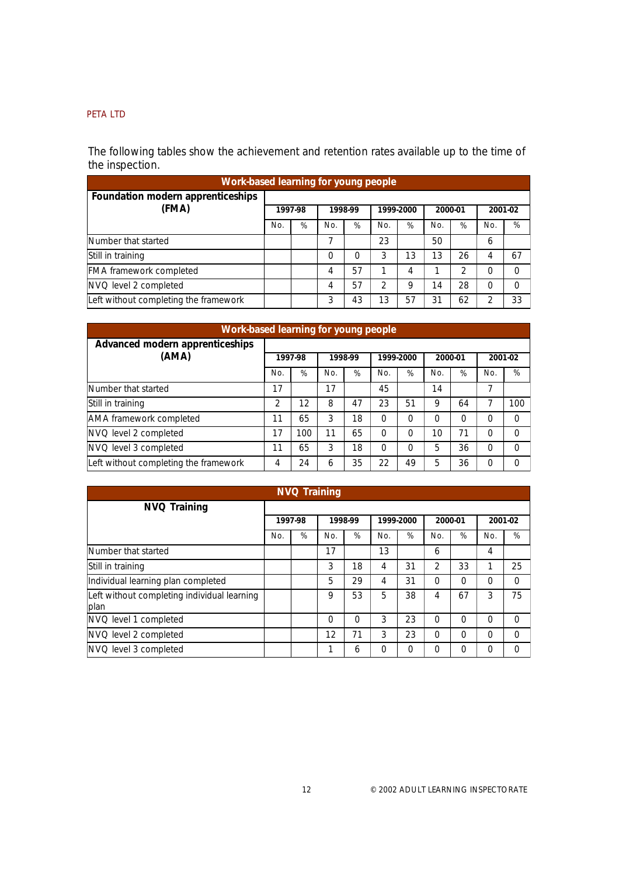The following tables show the achievement and retention rates available up to the time of the inspection.

| Work-based learning for young people       |         |   |         |    |                |    |         |    |         |    |  |  |
|--------------------------------------------|---------|---|---------|----|----------------|----|---------|----|---------|----|--|--|
| Foundation modern apprenticeships<br>(FMA) | 1997-98 |   | 1998-99 |    | 1999-2000      |    | 2000-01 |    | 2001-02 |    |  |  |
|                                            | No.     | % | No.     | %  | No.            | %  | No.     | %  | No.     | %  |  |  |
| Number that started                        |         |   |         |    | 23             |    | 50      |    | 6       |    |  |  |
| Still in training                          |         |   | 0       | 0  | 3              | 13 | 13      | 26 | 4       | 67 |  |  |
| <b>FMA</b> framework completed             |         |   | 4       | 57 |                | 4  |         | 2  | 0       | 0  |  |  |
| NVQ level 2 completed                      |         |   | 4       | 57 | $\mathfrak{D}$ | 9  | 14      | 28 | 0       | O  |  |  |
| Left without completing the framework      |         |   | 3       | 43 | 13             | 57 | 31      | 62 | っ       | 33 |  |  |

| Work-based learning for young people     |     |         |     |         |           |    |         |    |          |          |  |  |
|------------------------------------------|-----|---------|-----|---------|-----------|----|---------|----|----------|----------|--|--|
| Advanced modern apprenticeships<br>(AMA) |     | 1997-98 |     | 1998-99 | 1999-2000 |    | 2000-01 |    |          | 2001-02  |  |  |
|                                          | No. | %       | No. | %       | No.       | %  | No.     | %  | No.      | %        |  |  |
| Number that started                      | 17  |         | 17  |         | 45        |    | 14      |    | 7        |          |  |  |
| Still in training                        | 2   | 12      | 8   | 47      | 23        | 51 | 9       | 64 | 7        | 100      |  |  |
| AMA framework completed                  | 11  | 65      | 3   | 18      | 0         | 0  | ი       | 0  | 0        | O        |  |  |
| NVQ level 2 completed                    | 17  | 100     | 11  | 65      | 0         | 0  | 10      | 71 | 0        | $\Omega$ |  |  |
| NVQ level 3 completed                    | 11  | 65      | 3   | 18      | 0         | 0  | 5       | 36 | $\Omega$ | $\Omega$ |  |  |
| Left without completing the framework    | 4   | 24      | 6   | 35      | 22        | 49 | 5       | 36 | $\Omega$ | $\Omega$ |  |  |

|                                                     |     | <b>NVQ Training</b> |     |          |                |           |                |          |          |          |
|-----------------------------------------------------|-----|---------------------|-----|----------|----------------|-----------|----------------|----------|----------|----------|
| <b>NVQ Training</b>                                 |     |                     |     |          |                |           |                |          |          |          |
|                                                     |     | 1997-98             |     | 1998-99  |                | 1999-2000 | 2000-01        |          | 2001-02  |          |
|                                                     | No. | %                   | No. | %        | N <sub>O</sub> | %         | N <sub>O</sub> | %        | No.      | %        |
| Number that started                                 |     |                     | 17  |          | 13             |           | 6              |          | 4        |          |
| Still in training                                   |     |                     | 3   | 18       | 4              | 31        | 2              | 33       | 1        | 25       |
| Individual learning plan completed                  |     |                     | 5   | 29       | 4              | 31        | $\Omega$       | $\Omega$ | $\Omega$ | $\Omega$ |
| Left without completing individual learning<br>plan |     |                     | 9   | 53       | 5              | 38        | 4              | 67       | 3        | 75       |
| NVQ level 1 completed                               |     |                     | 0   | $\Omega$ | 3              | 23        | 0              | $\Omega$ | $\Omega$ | $\Omega$ |
| NVQ level 2 completed                               |     |                     | 12  | 71       | 3              | 23        | $\Omega$       | $\Omega$ | $\Omega$ | 0        |
| NVQ level 3 completed                               |     |                     |     | 6        | $\Omega$       | $\Omega$  | O              | $\Omega$ | $\Omega$ | 0        |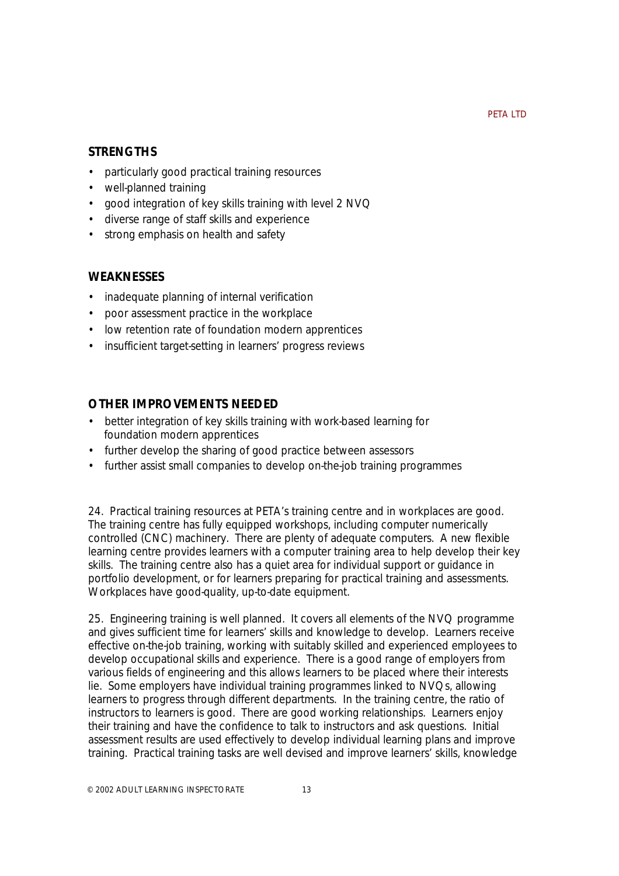# **STRENGTHS**

- particularly good practical training resources
- well-planned training
- good integration of key skills training with level 2 NVQ
- diverse range of staff skills and experience
- strong emphasis on health and safety

# **WEAKNESSES**

- inadequate planning of internal verification
- poor assessment practice in the workplace
- low retention rate of foundation modern apprentices
- insufficient target-setting in learners' progress reviews

# **OTHER IMPROVEMENTS NEEDED**

- better integration of key skills training with work-based learning for foundation modern apprentices
- further develop the sharing of good practice between assessors
- further assist small companies to develop on-the-job training programmes

24. Practical training resources at PETA's training centre and in workplaces are good. The training centre has fully equipped workshops, including computer numerically controlled (CNC) machinery. There are plenty of adequate computers. A new flexible learning centre provides learners with a computer training area to help develop their key skills. The training centre also has a quiet area for individual support or guidance in portfolio development, or for learners preparing for practical training and assessments. Workplaces have good-quality, up-to-date equipment.

25. Engineering training is well planned. It covers all elements of the NVQ programme and gives sufficient time for learners' skills and knowledge to develop. Learners receive effective on-the-job training, working with suitably skilled and experienced employees to develop occupational skills and experience. There is a good range of employers from various fields of engineering and this allows learners to be placed where their interests lie. Some employers have individual training programmes linked to NVQs, allowing learners to progress through different departments. In the training centre, the ratio of instructors to learners is good. There are good working relationships. Learners enjoy their training and have the confidence to talk to instructors and ask questions. Initial assessment results are used effectively to develop individual learning plans and improve training. Practical training tasks are well devised and improve learners' skills, knowledge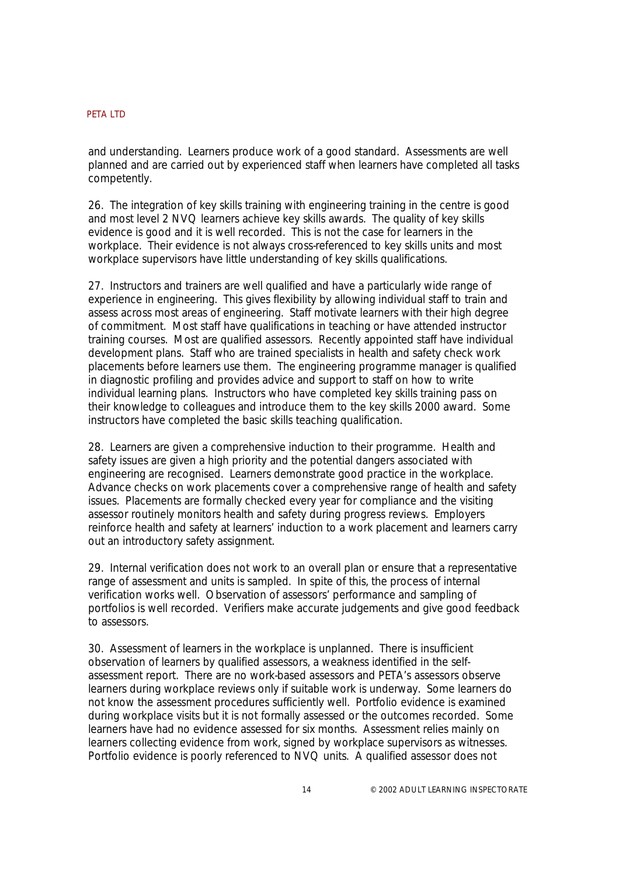and understanding. Learners produce work of a good standard. Assessments are well planned and are carried out by experienced staff when learners have completed all tasks competently.

26. The integration of key skills training with engineering training in the centre is good and most level 2 NVQ learners achieve key skills awards. The quality of key skills evidence is good and it is well recorded. This is not the case for learners in the workplace. Their evidence is not always cross-referenced to key skills units and most workplace supervisors have little understanding of key skills qualifications.

27. Instructors and trainers are well qualified and have a particularly wide range of experience in engineering. This gives flexibility by allowing individual staff to train and assess across most areas of engineering. Staff motivate learners with their high degree of commitment. Most staff have qualifications in teaching or have attended instructor training courses. Most are qualified assessors. Recently appointed staff have individual development plans. Staff who are trained specialists in health and safety check work placements before learners use them. The engineering programme manager is qualified in diagnostic profiling and provides advice and support to staff on how to write individual learning plans. Instructors who have completed key skills training pass on their knowledge to colleagues and introduce them to the key skills 2000 award. Some instructors have completed the basic skills teaching qualification.

28. Learners are given a comprehensive induction to their programme. Health and safety issues are given a high priority and the potential dangers associated with engineering are recognised. Learners demonstrate good practice in the workplace. Advance checks on work placements cover a comprehensive range of health and safety issues. Placements are formally checked every year for compliance and the visiting assessor routinely monitors health and safety during progress reviews. Employers reinforce health and safety at learners' induction to a work placement and learners carry out an introductory safety assignment.

29. Internal verification does not work to an overall plan or ensure that a representative range of assessment and units is sampled. In spite of this, the process of internal verification works well. Observation of assessors' performance and sampling of portfolios is well recorded. Verifiers make accurate judgements and give good feedback to assessors.

30. Assessment of learners in the workplace is unplanned. There is insufficient observation of learners by qualified assessors, a weakness identified in the selfassessment report. There are no work-based assessors and PETA's assessors observe learners during workplace reviews only if suitable work is underway. Some learners do not know the assessment procedures sufficiently well. Portfolio evidence is examined during workplace visits but it is not formally assessed or the outcomes recorded. Some learners have had no evidence assessed for six months. Assessment relies mainly on learners collecting evidence from work, signed by workplace supervisors as witnesses. Portfolio evidence is poorly referenced to NVQ units. A qualified assessor does not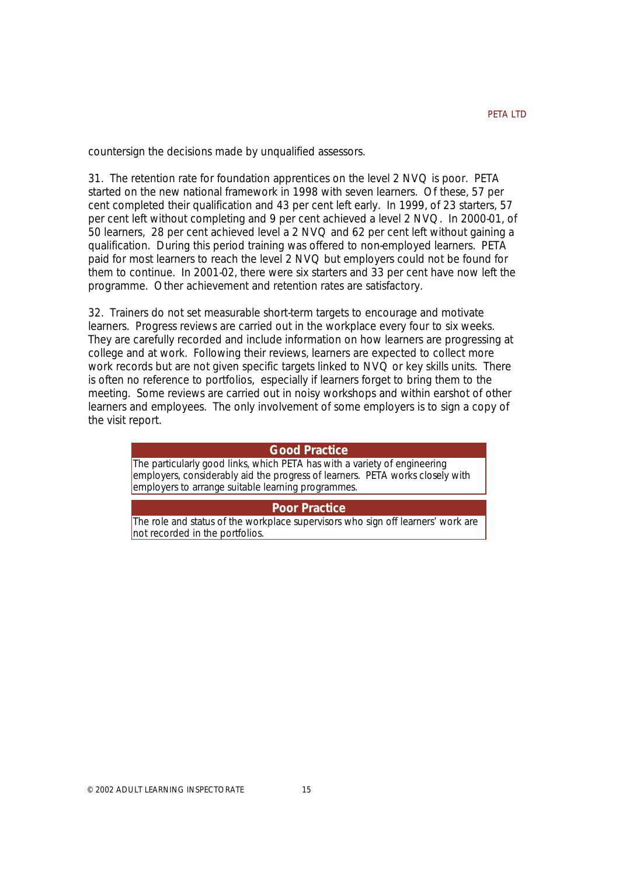countersign the decisions made by unqualified assessors.

31. The retention rate for foundation apprentices on the level 2 NVQ is poor. PETA started on the new national framework in 1998 with seven learners. Of these, 57 per cent completed their qualification and 43 per cent left early. In 1999, of 23 starters, 57 per cent left without completing and 9 per cent achieved a level 2 NVQ. In 2000-01, of 50 learners, 28 per cent achieved level a 2 NVQ and 62 per cent left without gaining a qualification. During this period training was offered to non-employed learners. PETA paid for most learners to reach the level 2 NVQ but employers could not be found for them to continue. In 2001-02, there were six starters and 33 per cent have now left the programme. Other achievement and retention rates are satisfactory.

32. Trainers do not set measurable short-term targets to encourage and motivate learners. Progress reviews are carried out in the workplace every four to six weeks. They are carefully recorded and include information on how learners are progressing at college and at work. Following their reviews, learners are expected to collect more work records but are not given specific targets linked to NVQ or key skills units. There is often no reference to portfolios, especially if learners forget to bring them to the meeting. Some reviews are carried out in noisy workshops and within earshot of other learners and employees. The only involvement of some employers is to sign a copy of the visit report.

#### **Good Practice**

*The particularly good links, which PETA has with a variety of engineering employers, considerably aid the progress of learners. PETA works closely with employers to arrange suitable learning programmes.*

#### **Poor Practice**

*The role and status of the workplace supervisors who sign off learners' work are not recorded in the portfolios.*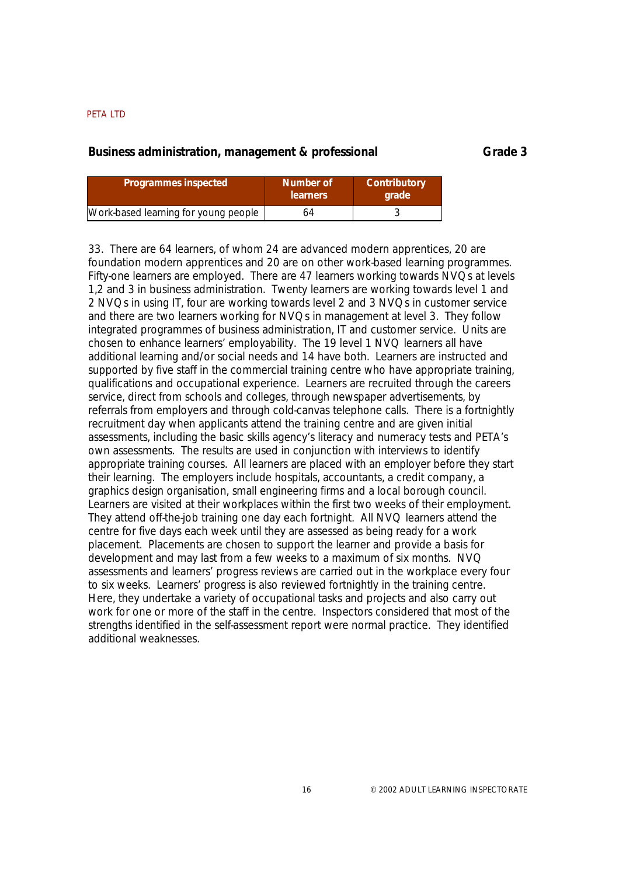## **Business administration, management & professional Grade 3**

| Programmes inspected                 | Number of<br><b>learners</b> | Contributory<br><b>arade</b> |
|--------------------------------------|------------------------------|------------------------------|
| Work-based learning for young people | 64                           |                              |

33. There are 64 learners, of whom 24 are advanced modern apprentices, 20 are foundation modern apprentices and 20 are on other work-based learning programmes. Fifty-one learners are employed. There are 47 learners working towards NVQs at levels 1,2 and 3 in business administration. Twenty learners are working towards level 1 and 2 NVQs in using IT, four are working towards level 2 and 3 NVQs in customer service and there are two learners working for NVQs in management at level 3. They follow integrated programmes of business administration, IT and customer service. Units are chosen to enhance learners' employability. The 19 level 1 NVQ learners all have additional learning and/or social needs and 14 have both. Learners are instructed and supported by five staff in the commercial training centre who have appropriate training, qualifications and occupational experience. Learners are recruited through the careers service, direct from schools and colleges, through newspaper advertisements, by referrals from employers and through cold-canvas telephone calls. There is a fortnightly recruitment day when applicants attend the training centre and are given initial assessments, including the basic skills agency's literacy and numeracy tests and PETA's own assessments. The results are used in conjunction with interviews to identify appropriate training courses. All learners are placed with an employer before they start their learning. The employers include hospitals, accountants, a credit company, a graphics design organisation, small engineering firms and a local borough council. Learners are visited at their workplaces within the first two weeks of their employment. They attend off-the-job training one day each fortnight. All NVQ learners attend the centre for five days each week until they are assessed as being ready for a work placement. Placements are chosen to support the learner and provide a basis for development and may last from a few weeks to a maximum of six months. NVQ assessments and learners' progress reviews are carried out in the workplace every four to six weeks. Learners' progress is also reviewed fortnightly in the training centre. Here, they undertake a variety of occupational tasks and projects and also carry out work for one or more of the staff in the centre. Inspectors considered that most of the strengths identified in the self-assessment report were normal practice. They identified additional weaknesses.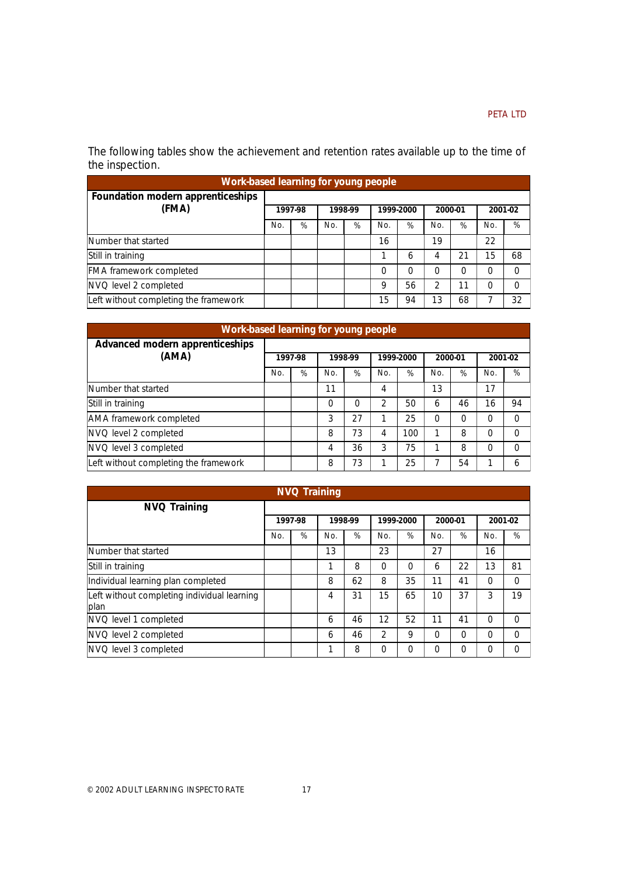The following tables show the achievement and retention rates available up to the time of the inspection.

| Work-based learning for young people  |         |   |         |   |     |           |         |    |     |         |  |  |
|---------------------------------------|---------|---|---------|---|-----|-----------|---------|----|-----|---------|--|--|
| Foundation modern apprenticeships     |         |   |         |   |     |           |         |    |     |         |  |  |
| (FMA)                                 | 1997-98 |   | 1998-99 |   |     | 1999-2000 | 2000-01 |    |     | 2001-02 |  |  |
|                                       | No.     | % | No.     | % | No. | %         | No.     | %  | No. | %       |  |  |
| Number that started                   |         |   |         |   | 16  |           | 19      |    | 22  |         |  |  |
| Still in training                     |         |   |         |   |     | 6         |         | 21 | 15  | 68      |  |  |
| <b>FMA</b> framework completed        |         |   |         |   | 0   | $\Omega$  |         | 0  | 0   |         |  |  |
| NVQ level 2 completed                 |         |   |         |   | 9   | 56        | 2       | 11 | 0   |         |  |  |
| Left without completing the framework |         |   |         |   | 15  | 94        | 13      | 68 |     | 32      |  |  |

|                                          |     |         |     |         |                |     |                |    | Work-based learning for young people |          |  |  |  |  |  |  |  |  |  |  |
|------------------------------------------|-----|---------|-----|---------|----------------|-----|----------------|----|--------------------------------------|----------|--|--|--|--|--|--|--|--|--|--|
| Advanced modern apprenticeships<br>(AMA) |     | 1997-98 |     | 1998-99 | 1999-2000      |     | 2000-01        |    |                                      | 2001-02  |  |  |  |  |  |  |  |  |  |  |
|                                          | No. | %       | No. | %       | N <sub>O</sub> | %   | N <sub>O</sub> | %  | N <sub>O</sub>                       | %        |  |  |  |  |  |  |  |  |  |  |
| Number that started                      |     |         | 11  |         | 4              |     | 13             |    | 17                                   |          |  |  |  |  |  |  |  |  |  |  |
| Still in training                        |     |         | 0   | 0       | $\mathfrak{D}$ | 50  | 6              | 46 | 16                                   | 94       |  |  |  |  |  |  |  |  |  |  |
| AMA framework completed                  |     |         | 3   | 27      |                | 25  | ი              | 0  | 0                                    | O        |  |  |  |  |  |  |  |  |  |  |
| NVQ level 2 completed                    |     |         | 8   | 73      | 4              | 100 |                | 8  | 0                                    | $\Omega$ |  |  |  |  |  |  |  |  |  |  |
| NVQ level 3 completed                    |     |         | 4   | 36      | 3              | 75  |                | 8  | 0                                    | O        |  |  |  |  |  |  |  |  |  |  |
| Left without completing the framework    |     |         | 8   | 73      | 1              | 25  |                | 54 |                                      | 6        |  |  |  |  |  |  |  |  |  |  |

|                                                     |     | <b>NVQ Training</b> |     |         |          |           |         |    |          |          |
|-----------------------------------------------------|-----|---------------------|-----|---------|----------|-----------|---------|----|----------|----------|
| <b>NVQ Training</b>                                 |     |                     |     |         |          |           |         |    |          |          |
|                                                     |     | 1997-98             |     | 1998-99 |          | 1999-2000 | 2000-01 |    |          | 2001-02  |
|                                                     | No. | %                   | No. | %       | No.      | %         | No.     | %  | No.      | %        |
| Number that started                                 |     |                     | 13  |         | 23       |           | 27      |    | 16       |          |
| Still in training                                   |     |                     | 1   | 8       | $\Omega$ | $\Omega$  | 6       | 22 | 13       | 81       |
| Individual learning plan completed                  |     |                     | 8   | 62      | 8        | 35        | 11      | 41 | $\Omega$ | $\Omega$ |
| Left without completing individual learning<br>plan |     |                     | 4   | 31      | 15       | 65        | 10      | 37 | 3        | 19       |
| NVQ level 1 completed                               |     |                     | 6   | 46      | 12       | 52        | 11      | 41 | $\Omega$ | $\Omega$ |
| NVQ level 2 completed                               |     |                     | 6   | 46      | 2        | 9         | 0       | 0  | $\Omega$ | $\Omega$ |
| NVQ level 3 completed                               |     |                     | ◄   | 8       | $\Omega$ | $\Omega$  | ი       | 0  | $\Omega$ | $\Omega$ |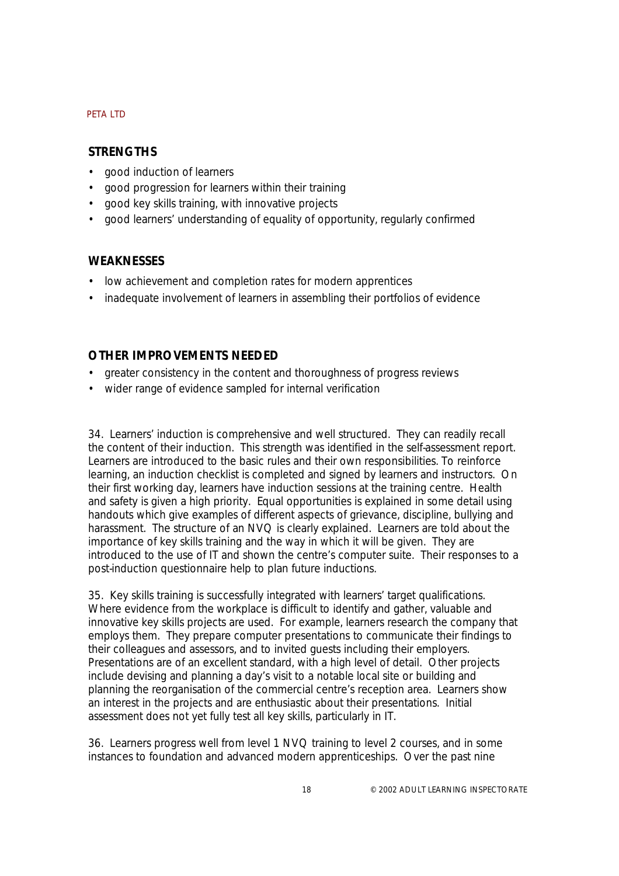# **STRENGTHS**

- good induction of learners
- good progression for learners within their training
- good key skills training, with innovative projects
- good learners' understanding of equality of opportunity, regularly confirmed

# **WEAKNESSES**

- low achievement and completion rates for modern apprentices
- inadequate involvement of learners in assembling their portfolios of evidence

# **OTHER IMPROVEMENTS NEEDED**

- greater consistency in the content and thoroughness of progress reviews
- wider range of evidence sampled for internal verification

34. Learners' induction is comprehensive and well structured. They can readily recall the content of their induction. This strength was identified in the self-assessment report. Learners are introduced to the basic rules and their own responsibilities. To reinforce learning, an induction checklist is completed and signed by learners and instructors. On their first working day, learners have induction sessions at the training centre. Health and safety is given a high priority. Equal opportunities is explained in some detail using handouts which give examples of different aspects of grievance, discipline, bullying and harassment. The structure of an NVQ is clearly explained. Learners are told about the importance of key skills training and the way in which it will be given. They are introduced to the use of IT and shown the centre's computer suite. Their responses to a post-induction questionnaire help to plan future inductions.

35. Key skills training is successfully integrated with learners' target qualifications. Where evidence from the workplace is difficult to identify and gather, valuable and innovative key skills projects are used. For example, learners research the company that employs them. They prepare computer presentations to communicate their findings to their colleagues and assessors, and to invited guests including their employers. Presentations are of an excellent standard, with a high level of detail. Other projects include devising and planning a day's visit to a notable local site or building and planning the reorganisation of the commercial centre's reception area. Learners show an interest in the projects and are enthusiastic about their presentations. Initial assessment does not yet fully test all key skills, particularly in IT.

36. Learners progress well from level 1 NVQ training to level 2 courses, and in some instances to foundation and advanced modern apprenticeships. Over the past nine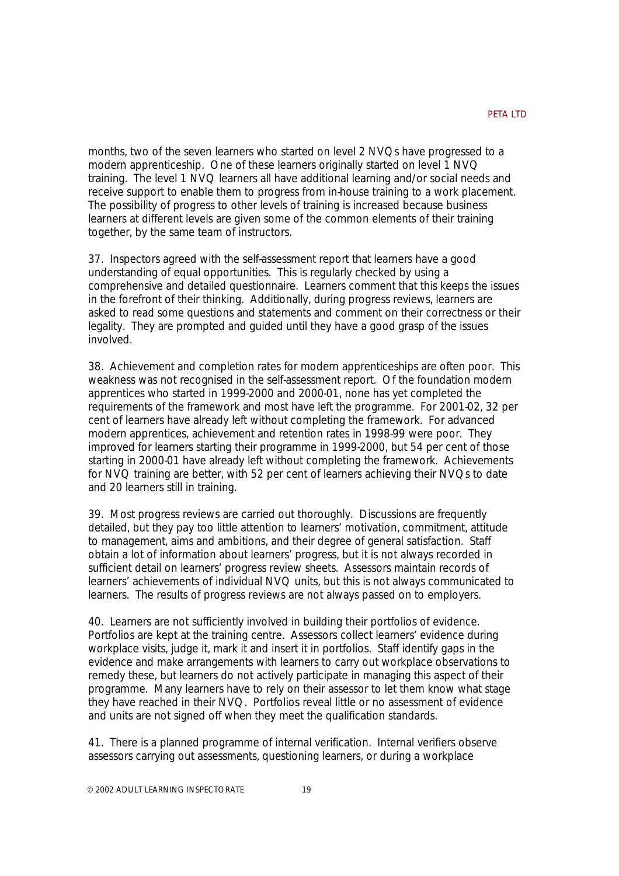months, two of the seven learners who started on level 2 NVQs have progressed to a modern apprenticeship. One of these learners originally started on level 1 NVQ training. The level 1 NVQ learners all have additional learning and/or social needs and receive support to enable them to progress from in-house training to a work placement. The possibility of progress to other levels of training is increased because business learners at different levels are given some of the common elements of their training together, by the same team of instructors.

37. Inspectors agreed with the self-assessment report that learners have a good understanding of equal opportunities. This is regularly checked by using a comprehensive and detailed questionnaire. Learners comment that this keeps the issues in the forefront of their thinking. Additionally, during progress reviews, learners are asked to read some questions and statements and comment on their correctness or their legality. They are prompted and guided until they have a good grasp of the issues involved.

38. Achievement and completion rates for modern apprenticeships are often poor. This weakness was not recognised in the self-assessment report. Of the foundation modern apprentices who started in 1999-2000 and 2000-01, none has yet completed the requirements of the framework and most have left the programme. For 2001-02, 32 per cent of learners have already left without completing the framework. For advanced modern apprentices, achievement and retention rates in 1998-99 were poor. They improved for learners starting their programme in 1999-2000, but 54 per cent of those starting in 2000-01 have already left without completing the framework. Achievements for NVQ training are better, with 52 per cent of learners achieving their NVQs to date and 20 learners still in training.

39. Most progress reviews are carried out thoroughly. Discussions are frequently detailed, but they pay too little attention to learners' motivation, commitment, attitude to management, aims and ambitions, and their degree of general satisfaction. Staff obtain a lot of information about learners' progress, but it is not always recorded in sufficient detail on learners' progress review sheets. Assessors maintain records of learners' achievements of individual NVQ units, but this is not always communicated to learners. The results of progress reviews are not always passed on to employers.

40. Learners are not sufficiently involved in building their portfolios of evidence. Portfolios are kept at the training centre. Assessors collect learners' evidence during workplace visits, judge it, mark it and insert it in portfolios. Staff identify gaps in the evidence and make arrangements with learners to carry out workplace observations to remedy these, but learners do not actively participate in managing this aspect of their programme. Many learners have to rely on their assessor to let them know what stage they have reached in their NVQ. Portfolios reveal little or no assessment of evidence and units are not signed off when they meet the qualification standards.

41. There is a planned programme of internal verification. Internal verifiers observe assessors carrying out assessments, questioning learners, or during a workplace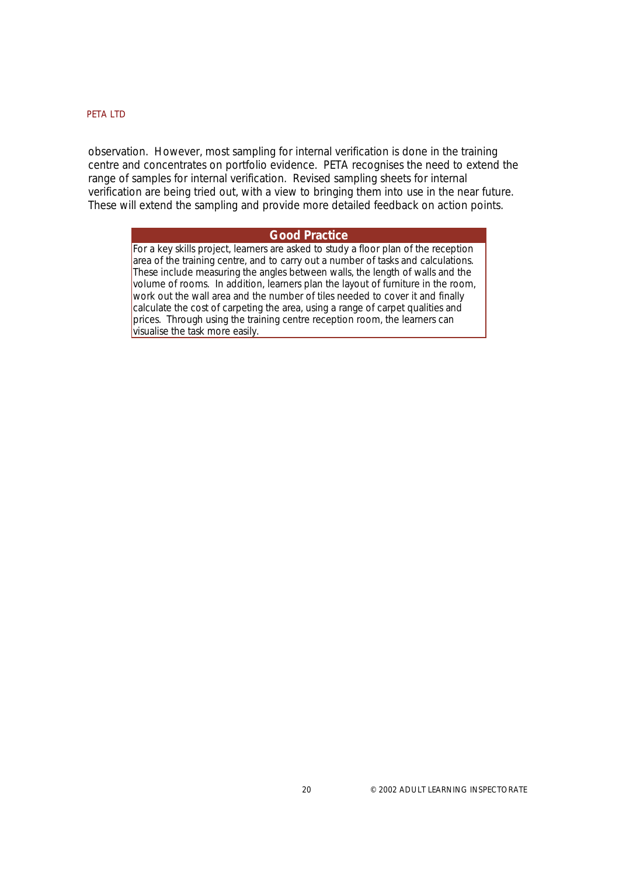observation. However, most sampling for internal verification is done in the training centre and concentrates on portfolio evidence. PETA recognises the need to extend the range of samples for internal verification. Revised sampling sheets for internal verification are being tried out, with a view to bringing them into use in the near future. These will extend the sampling and provide more detailed feedback on action points.

#### **Good Practice**

*For a key skills project, learners are asked to study a floor plan of the reception area of the training centre, and to carry out a number of tasks and calculations. These include measuring the angles between walls, the length of walls and the volume of rooms. In addition, learners plan the layout of furniture in the room, work out the wall area and the number of tiles needed to cover it and finally calculate the cost of carpeting the area, using a range of carpet qualities and prices. Through using the training centre reception room, the learners can visualise the task more easily.*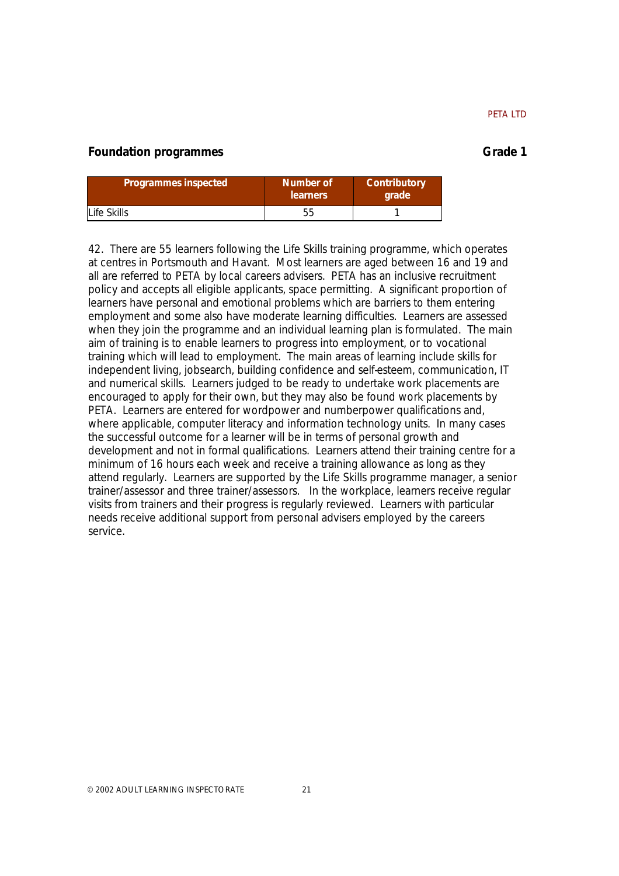# **Foundation programmes** Grade 1

|  | Grade |  |
|--|-------|--|
|  |       |  |

| Programmes inspected | Number of<br><b>learners</b> | Contributory<br><b>arade</b> |  |  |
|----------------------|------------------------------|------------------------------|--|--|
| Life Skills          |                              |                              |  |  |

42. There are 55 learners following the Life Skills training programme, which operates at centres in Portsmouth and Havant. Most learners are aged between 16 and 19 and all are referred to PETA by local careers advisers. PETA has an inclusive recruitment policy and accepts all eligible applicants, space permitting. A significant proportion of learners have personal and emotional problems which are barriers to them entering employment and some also have moderate learning difficulties. Learners are assessed when they join the programme and an individual learning plan is formulated. The main aim of training is to enable learners to progress into employment, or to vocational training which will lead to employment. The main areas of learning include skills for independent living, jobsearch, building confidence and self-esteem, communication, IT and numerical skills. Learners judged to be ready to undertake work placements are encouraged to apply for their own, but they may also be found work placements by PETA. Learners are entered for wordpower and numberpower qualifications and, where applicable, computer literacy and information technology units. In many cases the successful outcome for a learner will be in terms of personal growth and development and not in formal qualifications. Learners attend their training centre for a minimum of 16 hours each week and receive a training allowance as long as they attend regularly. Learners are supported by the Life Skills programme manager, a senior trainer/assessor and three trainer/assessors. In the workplace, learners receive regular visits from trainers and their progress is regularly reviewed. Learners with particular needs receive additional support from personal advisers employed by the careers service.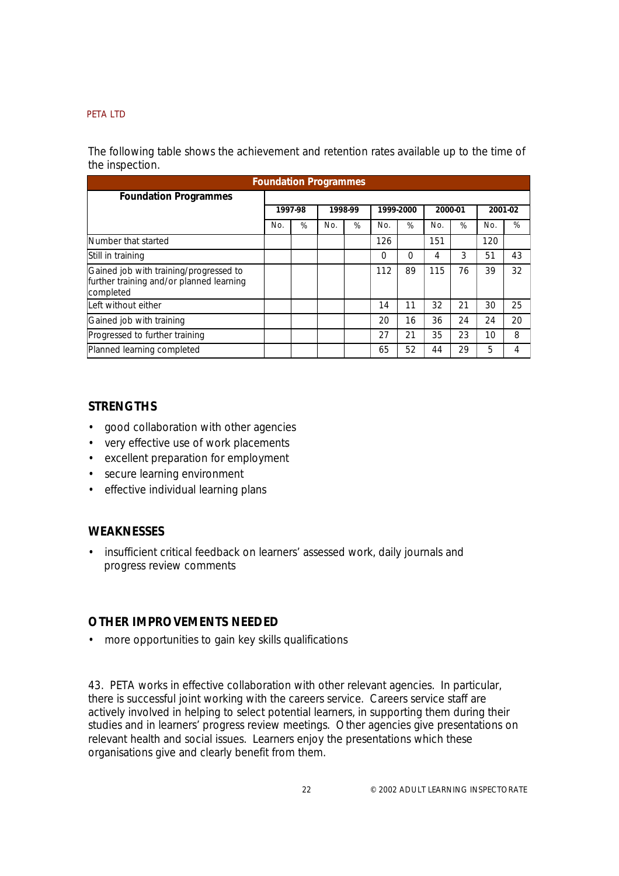The following table shows the achievement and retention rates available up to the time of the inspection.

| <b>Foundation Programmes</b>                                                                    |         |   |         |   |           |    |         |    |         |    |
|-------------------------------------------------------------------------------------------------|---------|---|---------|---|-----------|----|---------|----|---------|----|
| <b>Foundation Programmes</b>                                                                    |         |   |         |   |           |    |         |    |         |    |
|                                                                                                 | 1997-98 |   | 1998-99 |   | 1999-2000 |    | 2000-01 |    | 2001-02 |    |
|                                                                                                 | No.     | % | No.     | % | No.       | %  | No.     | %  | No.     | %  |
| Number that started                                                                             |         |   |         |   | 126       |    | 151     |    | 120     |    |
| Still in training                                                                               |         |   |         |   | 0         | 0  | 4       | 3  | 51      | 43 |
| Gained job with training/progressed to<br>further training and/or planned learning<br>completed |         |   |         |   | 112       | 89 | 115     | 76 | 39      | 32 |
| Left without either                                                                             |         |   |         |   | 14        | 11 | 32      | 21 | 30      | 25 |
| Gained job with training                                                                        |         |   |         |   | 20        | 16 | 36      | 24 | 24      | 20 |
| Progressed to further training                                                                  |         |   |         |   | 27        | 21 | 35      | 23 | 10      | 8  |
| Planned learning completed                                                                      |         |   |         |   | 65        | 52 | 44      | 29 | 5       | 4  |

# **STRENGTHS**

- good collaboration with other agencies
- very effective use of work placements
- excellent preparation for employment
- secure learning environment
- effective individual learning plans

# **WEAKNESSES**

• insufficient critical feedback on learners' assessed work, daily journals and progress review comments

# **OTHER IMPROVEMENTS NEEDED**

• more opportunities to gain key skills qualifications

43. PETA works in effective collaboration with other relevant agencies. In particular, there is successful joint working with the careers service. Careers service staff are actively involved in helping to select potential learners, in supporting them during their studies and in learners' progress review meetings. Other agencies give presentations on relevant health and social issues. Learners enjoy the presentations which these organisations give and clearly benefit from them.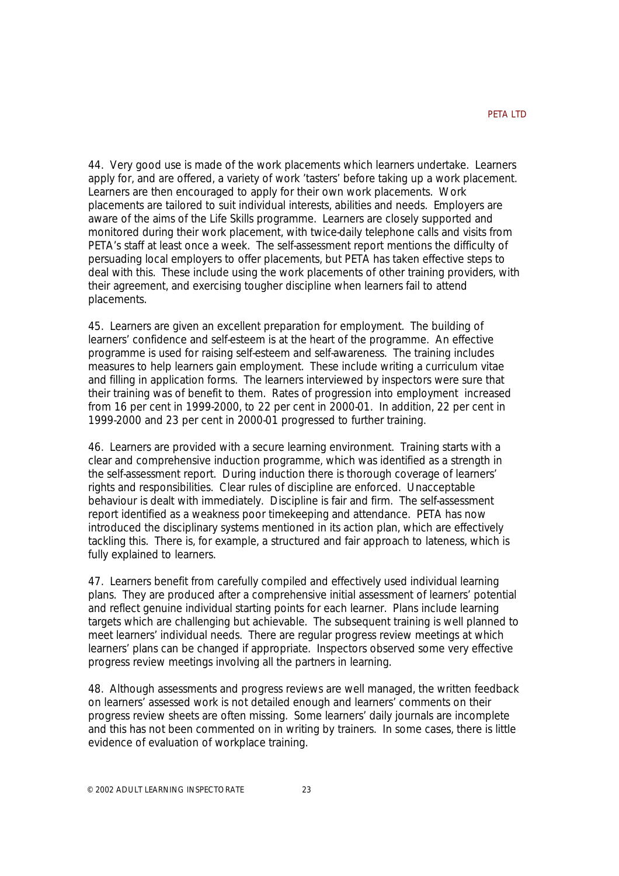44. Very good use is made of the work placements which learners undertake. Learners apply for, and are offered, a variety of work 'tasters' before taking up a work placement. Learners are then encouraged to apply for their own work placements. Work placements are tailored to suit individual interests, abilities and needs. Employers are aware of the aims of the Life Skills programme. Learners are closely supported and monitored during their work placement, with twice-daily telephone calls and visits from PETA's staff at least once a week. The self-assessment report mentions the difficulty of persuading local employers to offer placements, but PETA has taken effective steps to deal with this. These include using the work placements of other training providers, with their agreement, and exercising tougher discipline when learners fail to attend placements.

45. Learners are given an excellent preparation for employment. The building of learners' confidence and self-esteem is at the heart of the programme. An effective programme is used for raising self-esteem and self-awareness. The training includes measures to help learners gain employment. These include writing a curriculum vitae and filling in application forms. The learners interviewed by inspectors were sure that their training was of benefit to them. Rates of progression into employment increased from 16 per cent in 1999-2000, to 22 per cent in 2000-01. In addition, 22 per cent in 1999-2000 and 23 per cent in 2000-01 progressed to further training.

46. Learners are provided with a secure learning environment. Training starts with a clear and comprehensive induction programme, which was identified as a strength in the self-assessment report. During induction there is thorough coverage of learners' rights and responsibilities. Clear rules of discipline are enforced. Unacceptable behaviour is dealt with immediately. Discipline is fair and firm. The self-assessment report identified as a weakness poor timekeeping and attendance. PETA has now introduced the disciplinary systems mentioned in its action plan, which are effectively tackling this. There is, for example, a structured and fair approach to lateness, which is fully explained to learners.

47. Learners benefit from carefully compiled and effectively used individual learning plans. They are produced after a comprehensive initial assessment of learners' potential and reflect genuine individual starting points for each learner. Plans include learning targets which are challenging but achievable. The subsequent training is well planned to meet learners' individual needs. There are regular progress review meetings at which learners' plans can be changed if appropriate. Inspectors observed some very effective progress review meetings involving all the partners in learning.

48. Although assessments and progress reviews are well managed, the written feedback on learners' assessed work is not detailed enough and learners' comments on their progress review sheets are often missing. Some learners' daily journals are incomplete and this has not been commented on in writing by trainers. In some cases, there is little evidence of evaluation of workplace training.